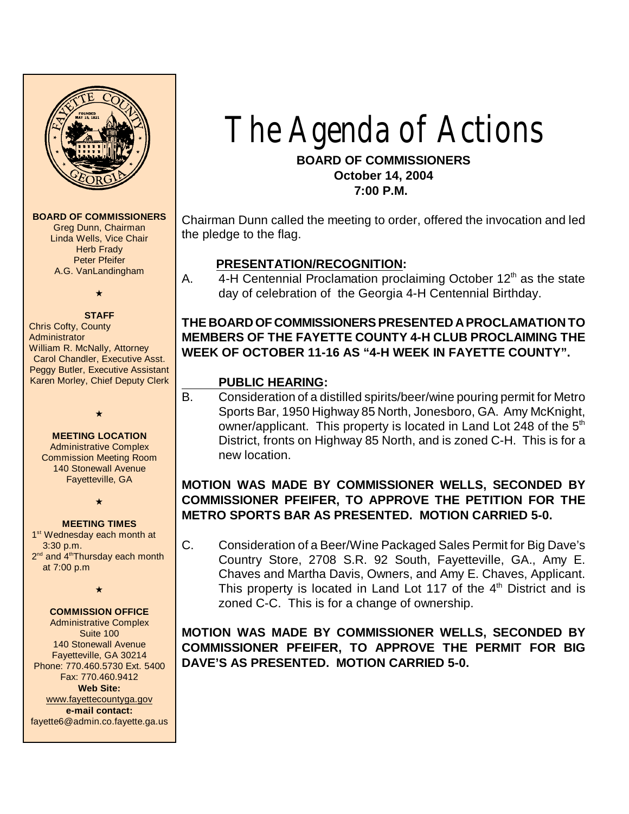

#### **BOARD OF COMMISSIONERS**

Greg Dunn, Chairman Linda Wells, Vice Chair **Herb Frady** Peter Pfeifer A.G. VanLandingham

### $\star$ **STAFF**

Chris Cofty, County **Administrator** William R. McNally, Attorney Carol Chandler, Executive Asst. Peggy Butler, Executive Assistant Karen Morley, Chief Deputy Clerk

#### **MEETING LOCATION**

 $\star$ 

Administrative Complex Commission Meeting Room 140 Stonewall Avenue Fayetteville, GA

 $\star$ 

#### **MEETING TIMES**

1<sup>st</sup> Wednesday each month at 3:30 p.m. 2<sup>nd</sup> and 4<sup>th</sup>Thursday each month at 7:00 p.m

 $\star$ 

#### **COMMISSION OFFICE**

Administrative Complex Suite 100 140 Stonewall Avenue Fayetteville, GA 30214 Phone: 770.460.5730 Ext. 5400 Fax: 770.460.9412 **Web Site:** [www.fayettecountyga.gov](http://www.admin.co.fayette.ga.us) **e-mail contact:** fayette6@admin.co.fayette.ga.us

# The Agenda of Actions

## **BOARD OF COMMISSIONERS October 14, 2004 7:00 P.M.**

Chairman Dunn called the meeting to order, offered the invocation and led the pledge to the flag.

# **PRESENTATION/RECOGNITION:**

A.  $4-H$  Centennial Proclamation proclaiming October  $12<sup>th</sup>$  as the state day of celebration of the Georgia 4-H Centennial Birthday.

# **THE BOARD OF COMMISSIONERS PRESENTED A PROCLAMATION TO MEMBERS OF THE FAYETTE COUNTY 4-H CLUB PROCLAIMING THE WEEK OF OCTOBER 11-16 AS "4-H WEEK IN FAYETTE COUNTY".**

## **PUBLIC HEARING:**

B. Consideration of a distilled spirits/beer/wine pouring permit for Metro Sports Bar, 1950 Highway 85 North, Jonesboro, GA. Amy McKnight, owner/applicant. This property is located in Land Lot 248 of the  $5<sup>th</sup>$ District, fronts on Highway 85 North, and is zoned C-H. This is for a new location.

## **MOTION WAS MADE BY COMMISSIONER WELLS, SECONDED BY COMMISSIONER PFEIFER, TO APPROVE THE PETITION FOR THE METRO SPORTS BAR AS PRESENTED. MOTION CARRIED 5-0.**

C. Consideration of a Beer/Wine Packaged Sales Permit for Big Dave's Country Store, 2708 S.R. 92 South, Fayetteville, GA., Amy E. Chaves and Martha Davis, Owners, and Amy E. Chaves, Applicant. This property is located in Land Lot 117 of the  $4<sup>th</sup>$  District and is zoned C-C. This is for a change of ownership.

**MOTION WAS MADE BY COMMISSIONER WELLS, SECONDED BY COMMISSIONER PFEIFER, TO APPROVE THE PERMIT FOR BIG DAVE'S AS PRESENTED. MOTION CARRIED 5-0.**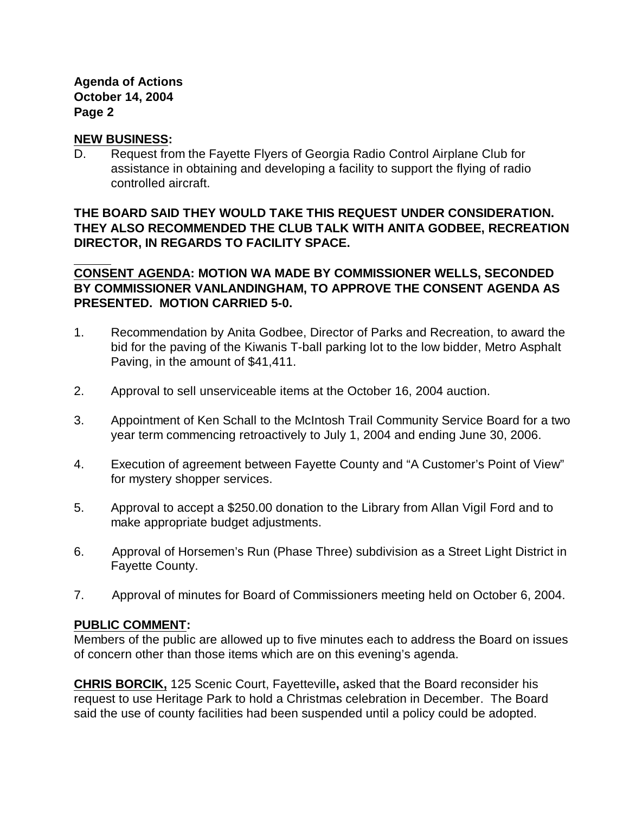#### **Agenda of Actions October 14, 2004 Page 2**

#### **NEW BUSINESS:**

D. Request from the Fayette Flyers of Georgia Radio Control Airplane Club for assistance in obtaining and developing a facility to support the flying of radio controlled aircraft.

## **THE BOARD SAID THEY WOULD TAKE THIS REQUEST UNDER CONSIDERATION. THEY ALSO RECOMMENDED THE CLUB TALK WITH ANITA GODBEE, RECREATION DIRECTOR, IN REGARDS TO FACILITY SPACE.**

**CONSENT AGENDA: MOTION WA MADE BY COMMISSIONER WELLS, SECONDED BY COMMISSIONER VANLANDINGHAM, TO APPROVE THE CONSENT AGENDA AS PRESENTED. MOTION CARRIED 5-0.**

- 1. Recommendation by Anita Godbee, Director of Parks and Recreation, to award the bid for the paving of the Kiwanis T-ball parking lot to the low bidder, Metro Asphalt Paving, in the amount of \$41,411.
- 2. Approval to sell unserviceable items at the October 16, 2004 auction.
- 3. Appointment of Ken Schall to the McIntosh Trail Community Service Board for a two year term commencing retroactively to July 1, 2004 and ending June 30, 2006.
- 4. Execution of agreement between Fayette County and "A Customer's Point of View" for mystery shopper services.
- 5. Approval to accept a \$250.00 donation to the Library from Allan Vigil Ford and to make appropriate budget adjustments.
- 6. Approval of Horsemen's Run (Phase Three) subdivision as a Street Light District in Fayette County.
- 7. Approval of minutes for Board of Commissioners meeting held on October 6, 2004.

#### **PUBLIC COMMENT:**

Members of the public are allowed up to five minutes each to address the Board on issues of concern other than those items which are on this evening's agenda.

**CHRIS BORCIK,** 125 Scenic Court, Fayetteville**,** asked that the Board reconsider his request to use Heritage Park to hold a Christmas celebration in December. The Board said the use of county facilities had been suspended until a policy could be adopted.